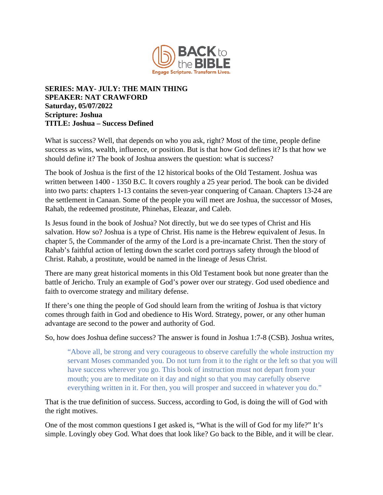

## **SERIES: MAY- JULY: THE MAIN THING SPEAKER: NAT CRAWFORD Saturday, 05/07/2022 Scripture: Joshua TITLE: Joshua – Success Defined**

What is success? Well, that depends on who you ask, right? Most of the time, people define success as wins, wealth, influence, or position. But is that how God defines it? Is that how we should define it? The book of Joshua answers the question: what is success?

The book of Joshua is the first of the 12 historical books of the Old Testament. Joshua was written between 1400 - 1350 B.C. It covers roughly a 25 year period. The book can be divided into two parts: chapters 1-13 contains the seven-year conquering of Canaan. Chapters 13-24 are the settlement in Canaan. Some of the people you will meet are Joshua, the successor of Moses, Rahab, the redeemed prostitute, Phinehas, Eleazar, and Caleb.

Is Jesus found in the book of Joshua? Not directly, but we do see types of Christ and His salvation. How so? Joshua is a type of Christ. His name is the Hebrew equivalent of Jesus. In chapter 5, the Commander of the army of the Lord is a pre-incarnate Christ. Then the story of Rahab's faithful action of letting down the scarlet cord portrays safety through the blood of Christ. Rahab, a prostitute, would be named in the lineage of Jesus Christ.

There are many great historical moments in this Old Testament book but none greater than the battle of Jericho. Truly an example of God's power over our strategy. God used obedience and faith to overcome strategy and military defense.

If there's one thing the people of God should learn from the writing of Joshua is that victory comes through faith in God and obedience to His Word. Strategy, power, or any other human advantage are second to the power and authority of God.

So, how does Joshua define success? The answer is found in Joshua 1:7-8 (CSB). Joshua writes,

"Above all, be strong and very courageous to observe carefully the whole instruction my servant Moses commanded you. Do not turn from it to the right or the left so that you will have success wherever you go. This book of instruction must not depart from your mouth; you are to meditate on it day and night so that you may carefully observe everything written in it. For then, you will prosper and succeed in whatever you do."

That is the true definition of success. Success, according to God, is doing the will of God with the right motives.

One of the most common questions I get asked is, "What is the will of God for my life?" It's simple. Lovingly obey God. What does that look like? Go back to the Bible, and it will be clear.